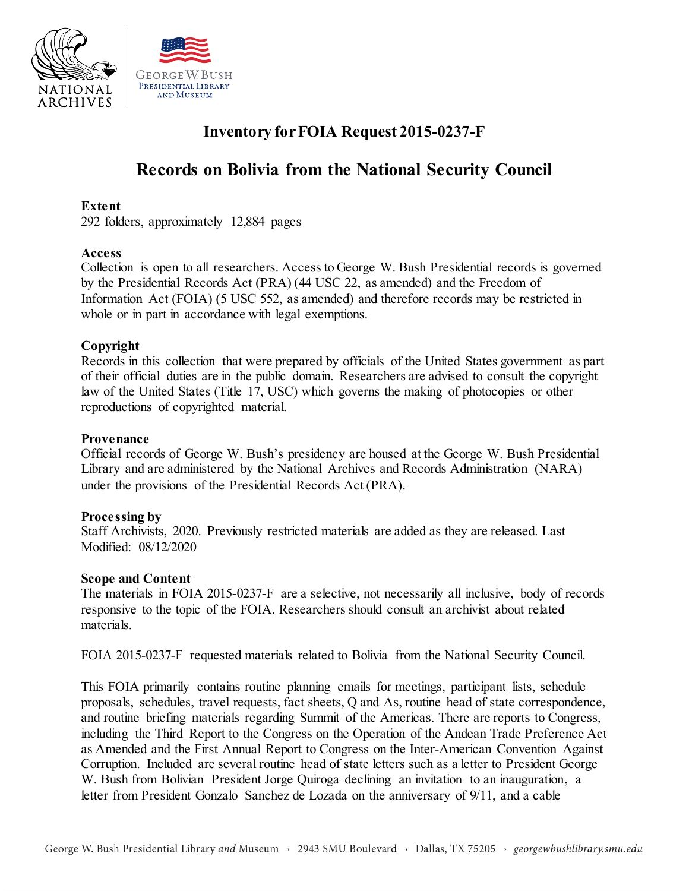



## **Inventory for FOIA Request 2015-0237-F**

# **Records on Bolivia from the National Security Council**

## **Extent**

292 folders, approximately 12,884 pages

## **Access**

 Collection is open to all researchers. Access to George W. Bush Presidential records is governed by the Presidential Records Act (PRA) (44 USC 22, as amended) and the Freedom of Information Act (FOIA) (5 USC 552, as amended) and therefore records may be restricted in whole or in part in accordance with legal exemptions.

## **Copyright**

 Records in this collection that were prepared by officials of the United States government as part of their official duties are in the public domain. Researchers are advised to consult the copyright law of the United States (Title 17, USC) which governs the making of photocopies or other reproductions of copyrighted material.

## **Provenance**

 Official records of George W. Bush's presidency are housed at the George W. Bush Presidential Library and are administered by the National Archives and Records Administration (NARA) under the provisions of the Presidential Records Act (PRA).

## **Processing by**

 Staff Archivists, 2020. Previously restricted materials are added as they are released. Last Modified: 08/12/2020

## **Scope and Content**

 The materials in FOIA 2015-0237-F are a selective, not necessarily all inclusive, body of records responsive to the topic of the FOIA. Researchers should consult an archivist about related materials.

FOIA 2015-0237-F requested materials related to Bolivia from the National Security Council.

 This FOIA primarily contains routine planning emails for meetings, participant lists, schedule proposals, schedules, travel requests, fact sheets, Q and As, routine head of state correspondence, and routine briefing materials regarding Summit of the Americas. There are reports to Congress, including the Third Report to the Congress on the Operation of the Andean Trade Preference Act as Amended and the First Annual Report to Congress on the Inter-American Convention Against W. Bush from Bolivian President Jorge Quiroga declining an invitation to an inauguration, a letter from President Gonzalo Sanchez de Lozada on the anniversary of 9/11, and a cable Corruption. Included are several routine head of state letters such as a letter to President George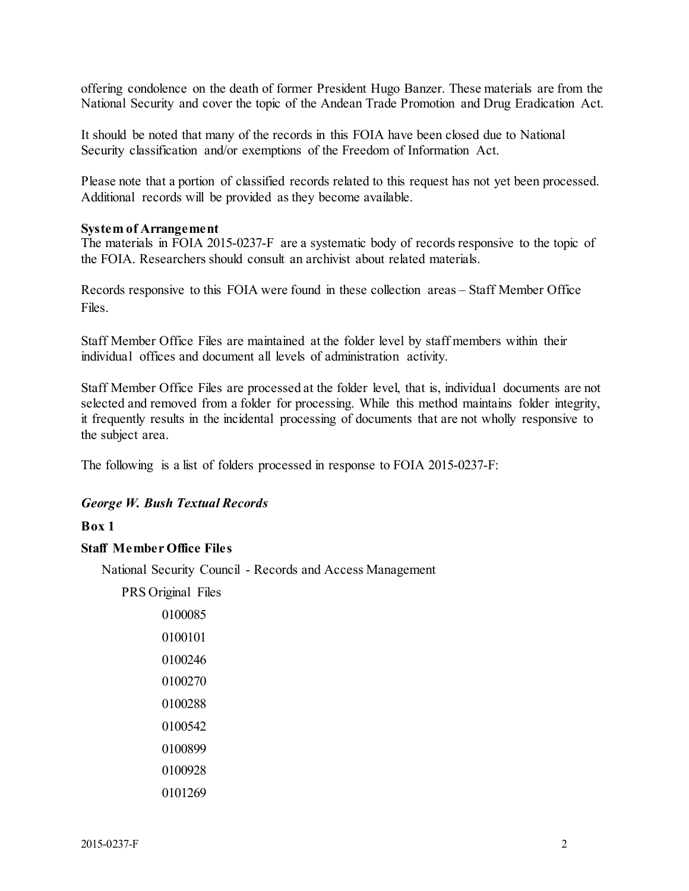National Security and cover the topic of the Andean Trade Promotion and Drug Eradication Act. offering condolence on the death of former President Hugo Banzer. These materials are from the

 Security classification and/or exemptions of the Freedom of Information Act. It should be noted that many of the records in this FOIA have been closed due to National

 Please note that a portion of classified records related to this request has not yet been processed. Additional records will be provided as they become available.

## **System of Arrangement**

 The materials in FOIA 2015-0237-F are a systematic body of records responsive to the topic of the FOIA. Researchers should consult an archivist about related materials.

 Records responsive to this FOIA were found in these collection areas – Staff Member Office Files.

 Staff Member Office Files are maintained at the folder level by staff members within their individual offices and document all levels of administration activity.

 Staff Member Office Files are processed at the folder level, that is, individual documents are not selected and removed from a folder for processing. While this method maintains folder integrity, it frequently results in the incidental processing of documents that are not wholly responsive to the subject area.

The following is a list of folders processed in response to FOIA 2015-0237-F:

## *George W. Bush Textual Records*

## **Box 1**

## **Staff Member Office Files**

National Security Council - Records and Access Management

PRS Original Files

| 0100085 |
|---------|
| 0100101 |
| 0100246 |
| 0100270 |
| 0100288 |
| 0100542 |
| 0100899 |
| 0100928 |
| 0101269 |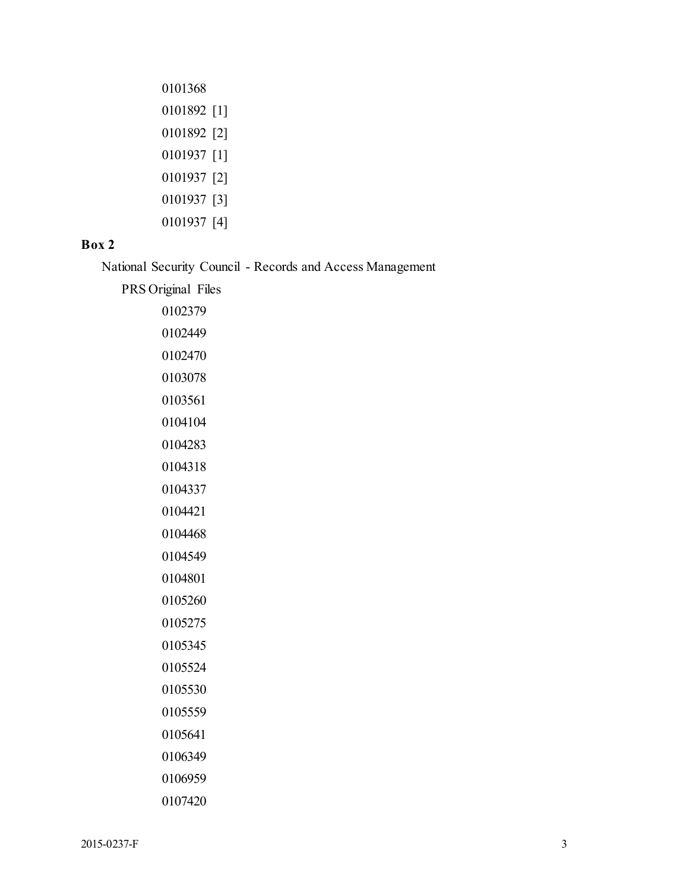| 0101892 [1] |
|-------------|
| 0101892 [2] |
| 0101937 [1] |
| 0101937 [2] |
| 0101937 [3] |
| 0101937 [4] |
|             |

## **Box 2**

National Security Council - Records and Access Management

PRS Original Files

| 0102379 |
|---------|
| 0102449 |
| 0102470 |
| 0103078 |
| 0103561 |
| 0104104 |
| 0104283 |
| 0104318 |
| 0104337 |
| 0104421 |
| 0104468 |
| 0104549 |
| 0104801 |
| 0105260 |
| 0105275 |
| 0105345 |
| 0105524 |
| 0105530 |
| 0105559 |
| 0105641 |
| 0106349 |
| 0106959 |
| 0107420 |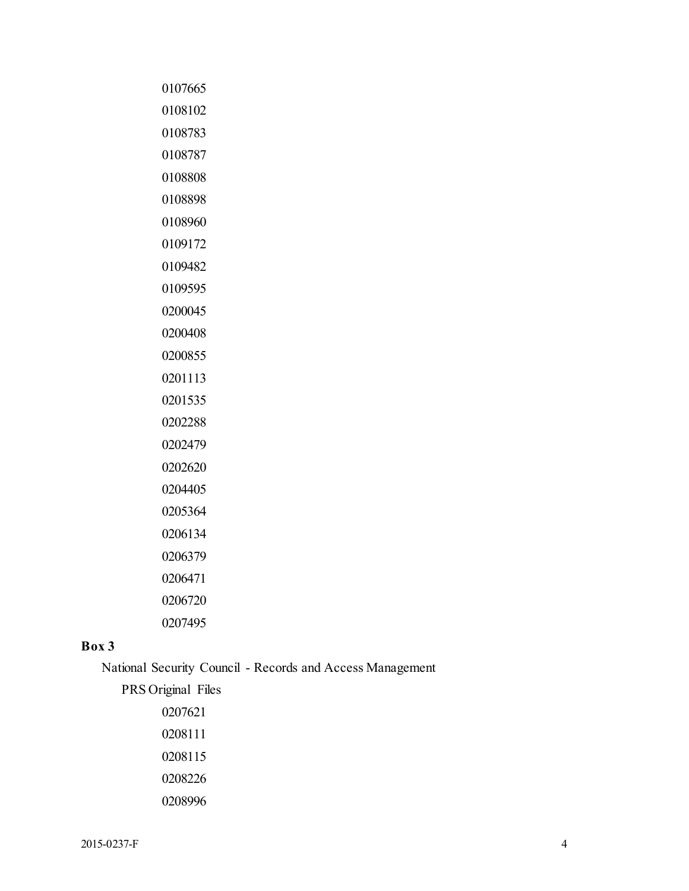| 0107665 |
|---------|
| 0108102 |
| 0108783 |
| 0108787 |
| 0108808 |
| 0108898 |
| 0108960 |
| 0109172 |
| 0109482 |
| 0109595 |
| 0200045 |
| 0200408 |
| 0200855 |
| 0201113 |
| 0201535 |
| 0202288 |
| 0202479 |
| 0202620 |
| 0204405 |
| 0205364 |
| 0206134 |
| 0206379 |
| 0206471 |
| 0206720 |
| 0207495 |

## **Box 3**

National Security Council - Records and Access Management

PRS Original Files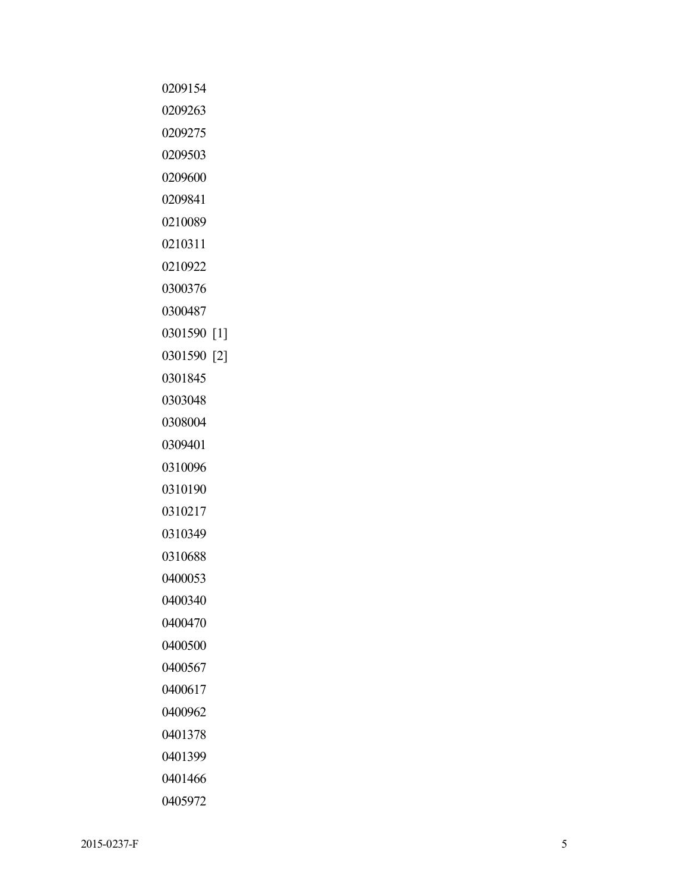#### 2015-0237-F  $-0237-F$  5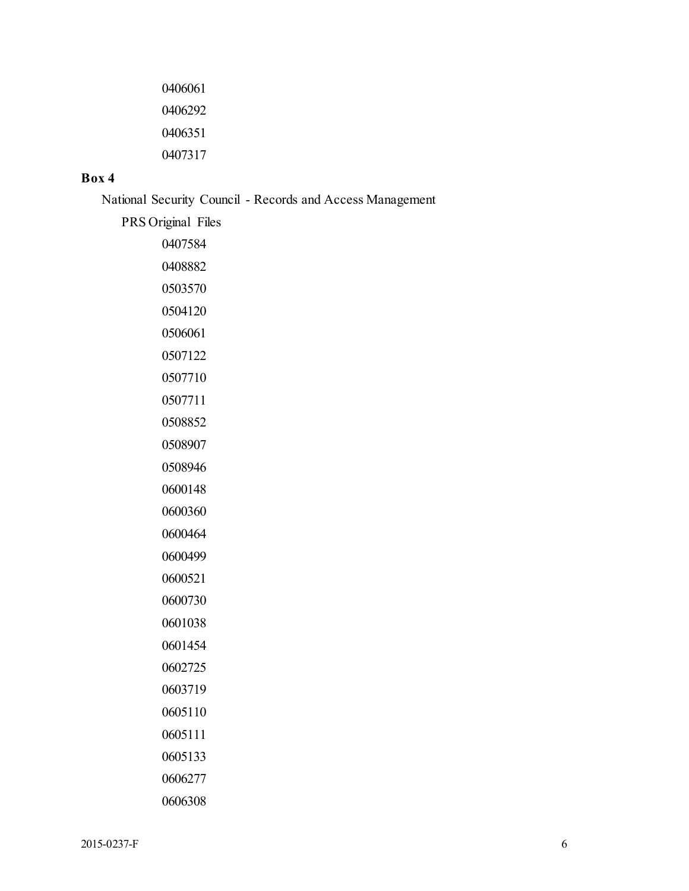## **Box 4**

National Security Council - Records and Access Management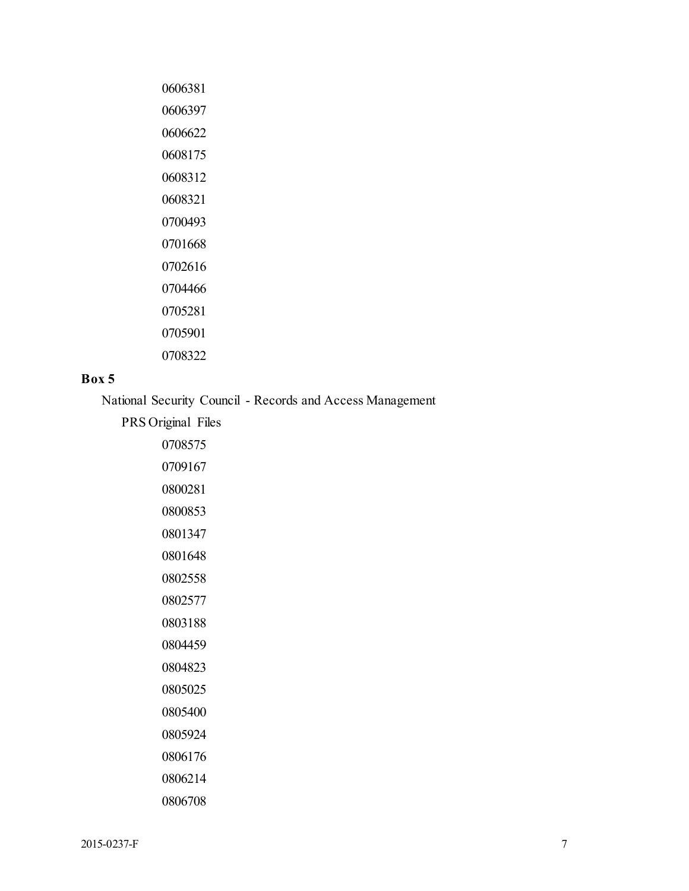| 0606381 |
|---------|
| 0606397 |
| 0606622 |
| 0608175 |
| 0608312 |
| 0608321 |
| 0700493 |
| 0701668 |
| 0702616 |
| 0704466 |
| 0705281 |
| 0705901 |
| 0708322 |
|         |

## **Box 5**

National Security Council - Records and Access Management

PRS Original Files

| 0708575 |
|---------|
| 0709167 |
| 0800281 |
| 0800853 |
| 0801347 |
| 0801648 |
| 0802558 |
| 0802577 |
| 0803188 |
| 0804459 |
| 0804823 |
| 0805025 |
| 0805400 |
| 0805924 |
| 0806176 |
| 0806214 |
| 0806708 |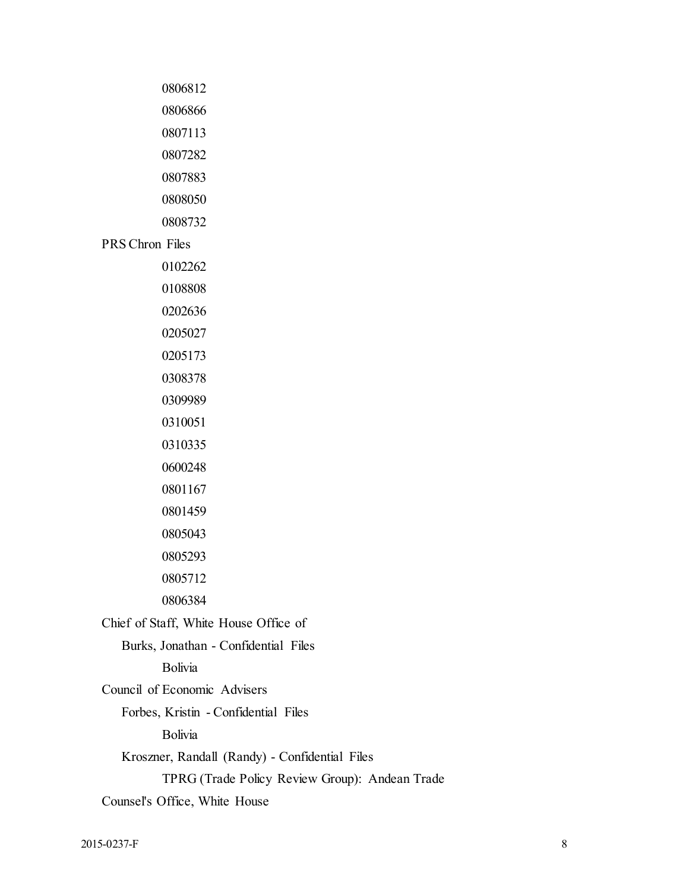PRS Chron Files

 

 

Chief of Staff, White House Office of

Burks, Jonathan - Confidential Files

Bolivia

Council of Economic Advisers

Forbes, Kristin - Confidential Files

Bolivia

Kroszner, Randall (Randy) - Confidential Files

TPRG (Trade Policy Review Group): Andean Trade

Counsel's Office, White House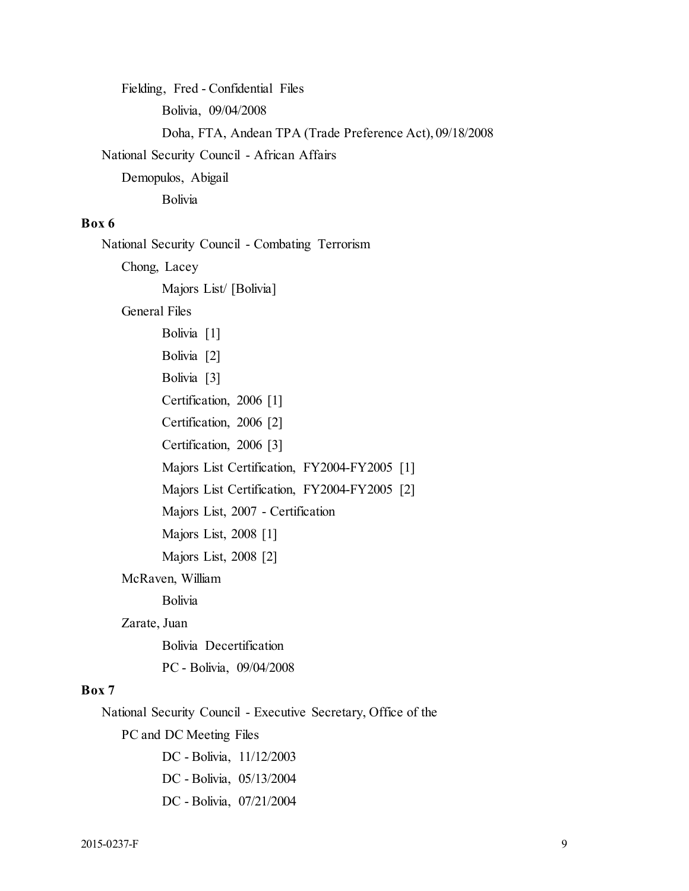Doha, FTA, Andean TPA (Trade Preference Act), 09/18/2008 Fielding, Fred - Confidential Files Bolivia, 09/04/2008 National Security Council - African Affairs Demopulos, Abigail Bolivia

## **Box 6**

National Security Council - Combating Terrorism

Chong, Lacey

Majors List/ [Bolivia]

General Files

 Majors List, 2007 - Certification Bolivia [1] Bolivia [2] Bolivia [3] Certification, 2006 [1] Certification, 2006 [2] Certification, 2006 [3] Majors List Certification, FY2004-FY2005 [1] Majors List Certification, FY2004-FY2005 [2] Majors List, 2008 [1] Majors List, 2008 [2] McRaven, William Bolivia

#### Zarate, Juan

Bolivia Decertification

PC - Bolivia, 09/04/2008

## **Box 7**

National Security Council - Executive Secretary, Office of the

PC and DC Meeting Files

DC - Bolivia, 11/12/2003 DC - Bolivia, 05/13/2004 DC - Bolivia, 07/21/2004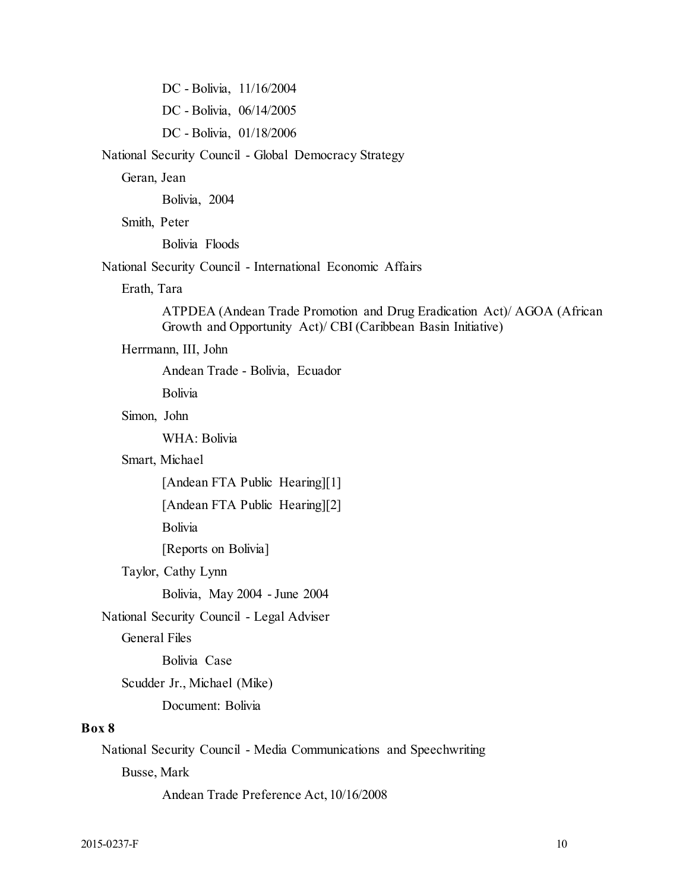DC - Bolivia, 11/16/2004 DC - Bolivia, 06/14/2005 DC - Bolivia, 01/18/2006

National Security Council - Global Democracy Strategy

Geran, Jean

Bolivia, 2004

Smith, Peter

Bolivia Floods

National Security Council - International Economic Affairs

Erath, Tara

ATPDEA (Andean Trade Promotion and Drug Eradication Act)/ AGOA (African Growth and Opportunity Act)/ CBI (Caribbean Basin Initiative)

#### Herrmann, III, John

Andean Trade - Bolivia, Ecuador

Bolivia

## Simon, John

WHA: Bolivia

## Smart, Michael

[Andean FTA Public Hearing][1]

[Andean FTA Public Hearing][2]

Bolivia

[Reports on Bolivia]

Taylor, Cathy Lynn

Bolivia, May 2004 - June 2004

#### National Security Council - Legal Adviser

General Files

Bolivia Case

Scudder Jr., Michael (Mike)

Document: Bolivia

#### **Box 8**

National Security Council - Media Communications and Speechwriting

Busse, Mark

Andean Trade Preference Act, 10/16/2008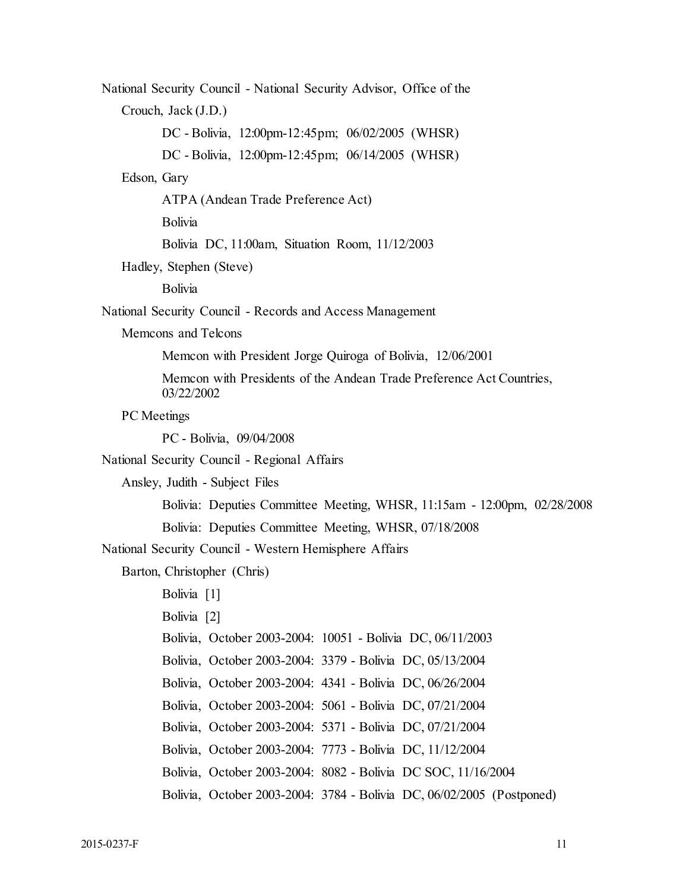Memcon with President Jorge Quiroga of Bolivia, 12/06/2001 Memcon with Presidents of the Andean Trade Preference Act Countries, Bolivia: Deputies Committee Meeting, WHSR, 11:15am - 12:00pm, 02/28/2008 Bolivia: Deputies Committee Meeting, WHSR, 07/18/2008 National Security Council - National Security Advisor, Office of the Crouch, Jack (J.D.) DC - Bolivia, 12:00pm-12:45pm; 06/02/2005 (WHSR) DC - Bolivia, 12:00pm-12:45pm; 06/14/2005 (WHSR) Edson, Gary ATPA (Andean Trade Preference Act) Bolivia Bolivia DC, 11:00am, Situation Room, 11/12/2003 Hadley, Stephen (Steve) Bolivia National Security Council - Records and Access Management Memcons and Telcons 03/22/2002 PC Meetings PC - Bolivia, 09/04/2008 National Security Council - Regional Affairs Ansley, Judith - Subject Files National Security Council - Western Hemisphere Affairs Barton, Christopher (Chris) Bolivia [1] Bolivia [2] Bolivia, October 2003-2004: 10051 - Bolivia DC, 06/11/2003 Bolivia, October 2003-2004: 3379 - Bolivia DC, 05/13/2004 Bolivia, October 2003-2004: 4341 - Bolivia DC, 06/26/2004 Bolivia, October 2003-2004: 5061 - Bolivia DC, 07/21/2004 Bolivia, October 2003-2004: 5371 - Bolivia DC, 07/21/2004 Bolivia, October 2003-2004: 7773 - Bolivia DC, 11/12/2004 Bolivia, October 2003-2004: 8082 - Bolivia DC SOC, 11/16/2004 Bolivia, October 2003-2004: 3784 - Bolivia DC, 06/02/2005 (Postponed)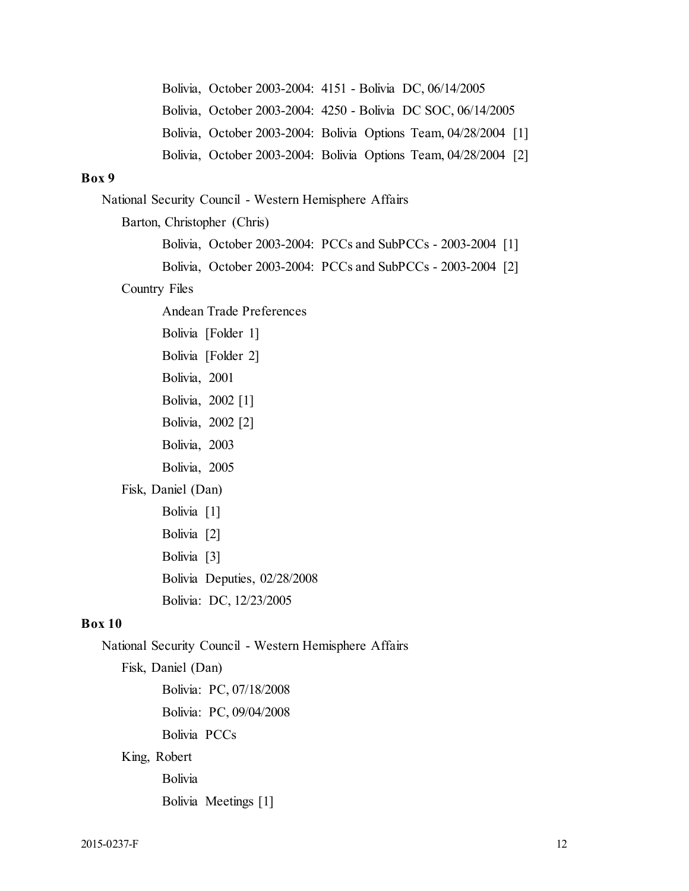Bolivia, October 2003-2004: Bolivia Options Team, 04/28/2004 [1] Bolivia, October 2003-2004: Bolivia Options Team, 04/28/2004 [2] Bolivia, October 2003-2004: 4151 - Bolivia DC, 06/14/2005 Bolivia, October 2003-2004: 4250 - Bolivia DC SOC, 06/14/2005

## **Box 9**

National Security Council - Western Hemisphere Affairs

Barton, Christopher (Chris)

Bolivia, October 2003-2004: PCCs and SubPCCs - 2003-2004 [1]

Bolivia, October 2003-2004: PCCs and SubPCCs - 2003-2004 [2]

#### Country Files

Andean Trade Preferences

Bolivia [Folder 1]

Bolivia [Folder 2]

Bolivia, 2001

Bolivia, 2002 [1]

Bolivia, 2002 [2]

Bolivia, 2003

Bolivia, 2005

Fisk, Daniel (Dan)

Bolivia [1] Bolivia [2] Bolivia [3] Bolivia Deputies, 02/28/2008 Bolivia: DC, 12/23/2005

#### **Box 10**

National Security Council - Western Hemisphere Affairs

Fisk, Daniel (Dan) Bolivia: PC, 07/18/2008 Bolivia: PC, 09/04/2008 Bolivia PCCs

King, Robert

Bolivia

Bolivia Meetings [1]